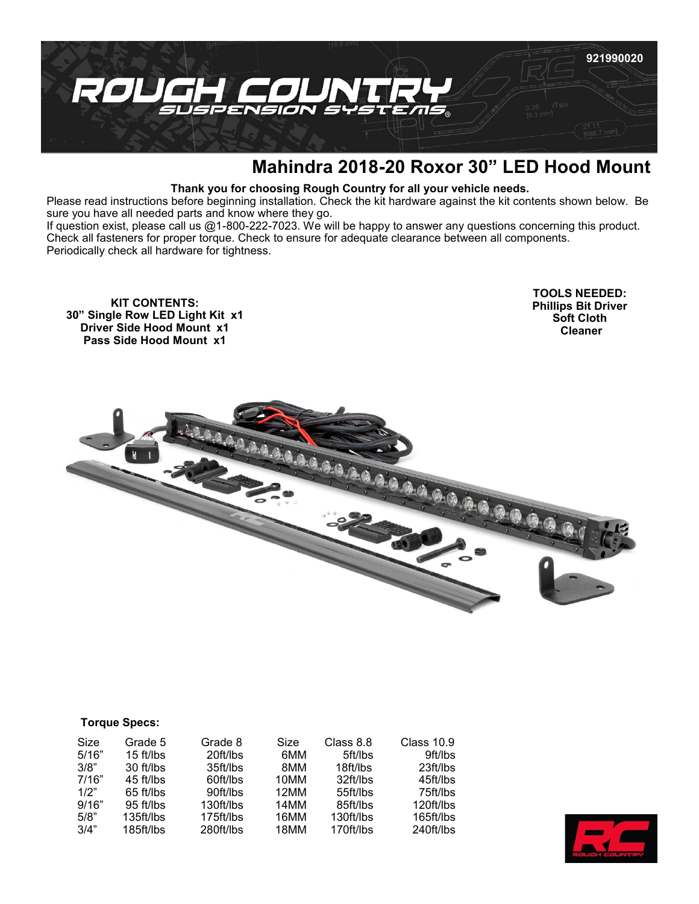

## **Mahindra 2018-20 Roxor 30" LED Hood Mount**

## **Thank you for choosing Rough Country for all your vehicle needs.**

Please read instructions before beginning installation. Check the kit hardware against the kit contents shown below. Be sure you have all needed parts and know where they go.

If question exist, please call us @1-800-222-7023. We will be happy to answer any questions concerning this product. Check all fasteners for proper torque. Check to ensure for adequate clearance between all components. Periodically check all hardware for tightness.

**KIT CONTENTS: 30" Single Row LED Light Kit x1 Driver Side Hood Mount x1 Pass Side Hood Mount x1**

**TOOLS NEEDED: Phillips Bit Driver Soft Cloth Cleaner** 



| <b>Torque Specs:</b> |
|----------------------|
|----------------------|

| Size  | Grade 5   | Grade 8   | Size | Class 8.8 | <b>Class 10.9</b> |
|-------|-----------|-----------|------|-----------|-------------------|
| 5/16" | 15 ft/lbs | 20ft/lbs  | 6MM  | 5ft/lbs   | 9ft/lbs           |
| 3/8"  | 30 ft/lbs | 35ft/lbs  | 8MM  | 18ft/lbs  | 23ft/lbs          |
| 7/16" | 45 ft/lbs | 60ft/lbs  | 10MM | 32ft/lbs  | 45ft/lbs          |
| 1/2"  | 65 ft/lbs | 90ft/lbs  | 12MM | 55ft/lbs  | 75ft/lbs          |
| 9/16" | 95 ft/lbs | 130ft/lbs | 14MM | 85ft/lbs  | 120ft/lbs         |
| 5/8"  | 135ft/lbs | 175ft/lbs | 16MM | 130ft/lbs | 165ft/lbs         |
| 3/4"  | 185ft/lbs | 280ft/lbs | 18MM | 170ft/lbs | 240ft/lbs         |